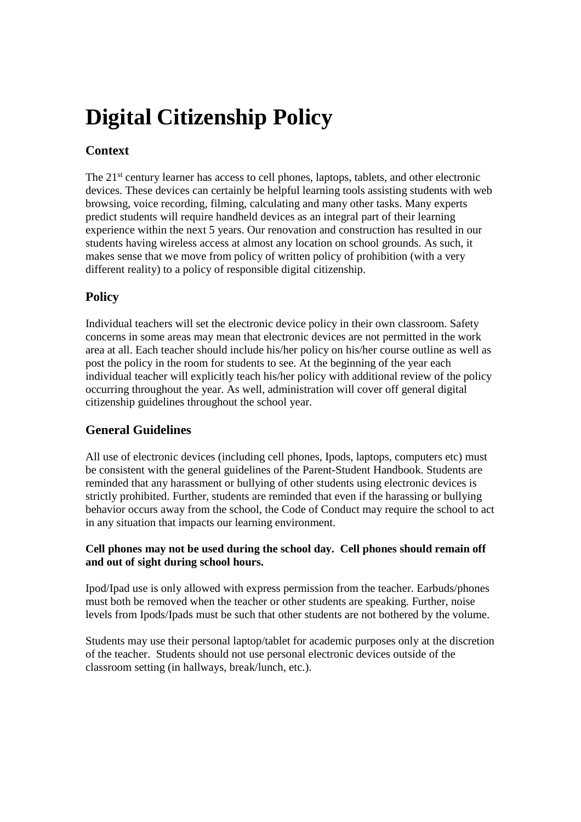# **Digital Citizenship Policy**

# **Context**

The 21<sup>st</sup> century learner has access to cell phones, laptops, tablets, and other electronic devices. These devices can certainly be helpful learning tools assisting students with web browsing, voice recording, filming, calculating and many other tasks. Many experts predict students will require handheld devices as an integral part of their learning experience within the next 5 years. Our renovation and construction has resulted in our students having wireless access at almost any location on school grounds. As such, it makes sense that we move from policy of written policy of prohibition (with a very different reality) to a policy of responsible digital citizenship.

## **Policy**

Individual teachers will set the electronic device policy in their own classroom. Safety concerns in some areas may mean that electronic devices are not permitted in the work area at all. Each teacher should include his/her policy on his/her course outline as well as post the policy in the room for students to see. At the beginning of the year each individual teacher will explicitly teach his/her policy with additional review of the policy occurring throughout the year. As well, administration will cover off general digital citizenship guidelines throughout the school year.

## **General Guidelines**

All use of electronic devices (including cell phones, Ipods, laptops, computers etc) must be consistent with the general guidelines of the Parent-Student Handbook. Students are reminded that any harassment or bullying of other students using electronic devices is strictly prohibited. Further, students are reminded that even if the harassing or bullying behavior occurs away from the school, the Code of Conduct may require the school to act in any situation that impacts our learning environment.

#### **Cell phones may not be used during the school day. Cell phones should remain off and out of sight during school hours.**

Ipod/Ipad use is only allowed with express permission from the teacher. Earbuds/phones must both be removed when the teacher or other students are speaking. Further, noise levels from Ipods/Ipads must be such that other students are not bothered by the volume.

Students may use their personal laptop/tablet for academic purposes only at the discretion of the teacher. Students should not use personal electronic devices outside of the classroom setting (in hallways, break/lunch, etc.).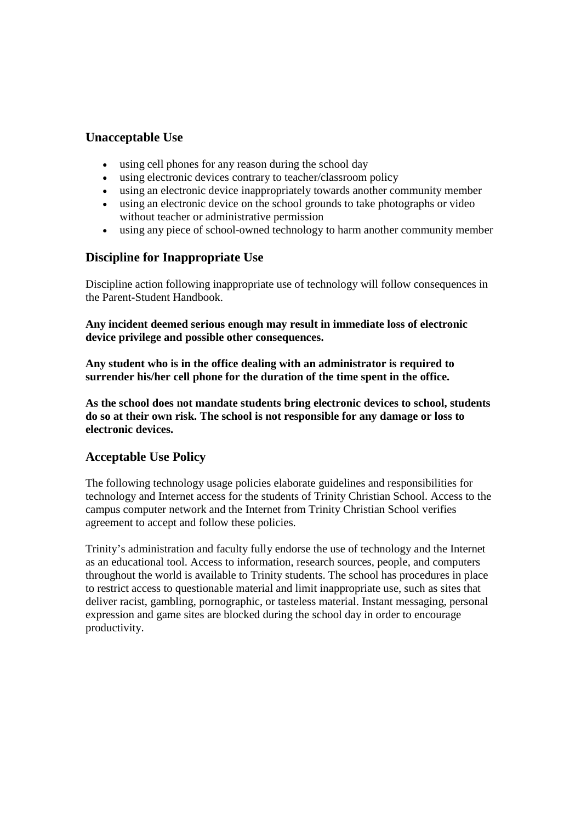## **Unacceptable Use**

- using cell phones for any reason during the school day
- using electronic devices contrary to teacher/classroom policy
- using an electronic device inappropriately towards another community member
- using an electronic device on the school grounds to take photographs or video without teacher or administrative permission
- using any piece of school-owned technology to harm another community member

## **Discipline for Inappropriate Use**

Discipline action following inappropriate use of technology will follow consequences in the Parent-Student Handbook.

**Any incident deemed serious enough may result in immediate loss of electronic device privilege and possible other consequences.**

**Any student who is in the office dealing with an administrator is required to surrender his/her cell phone for the duration of the time spent in the office.**

**As the school does not mandate students bring electronic devices to school, students do so at their own risk. The school is not responsible for any damage or loss to electronic devices.**

### **Acceptable Use Policy**

The following technology usage policies elaborate guidelines and responsibilities for technology and Internet access for the students of Trinity Christian School. Access to the campus computer network and the Internet from Trinity Christian School verifies agreement to accept and follow these policies.

Trinity's administration and faculty fully endorse the use of technology and the Internet as an educational tool. Access to information, research sources, people, and computers throughout the world is available to Trinity students. The school has procedures in place to restrict access to questionable material and limit inappropriate use, such as sites that deliver racist, gambling, pornographic, or tasteless material. Instant messaging, personal expression and game sites are blocked during the school day in order to encourage productivity.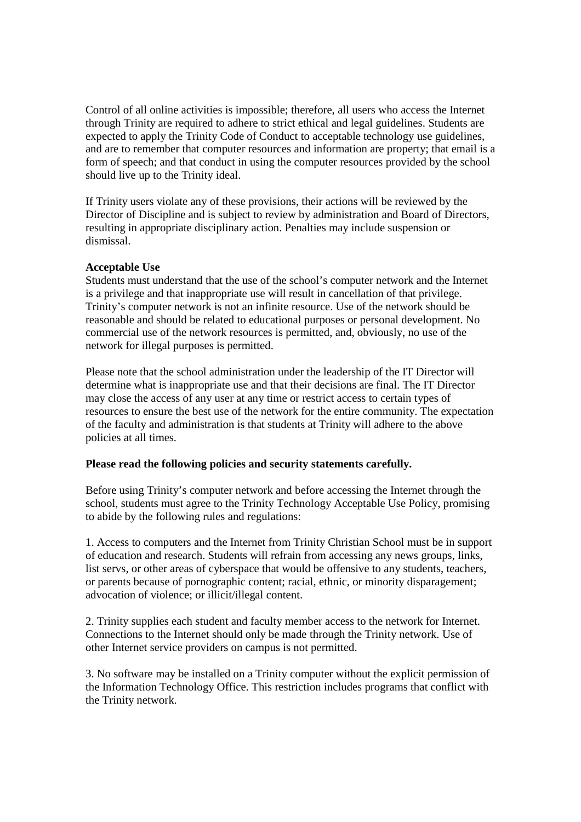Control of all online activities is impossible; therefore, all users who access the Internet through Trinity are required to adhere to strict ethical and legal guidelines. Students are expected to apply the Trinity Code of Conduct to acceptable technology use guidelines, and are to remember that computer resources and information are property; that email is a form of speech; and that conduct in using the computer resources provided by the school should live up to the Trinity ideal.

If Trinity users violate any of these provisions, their actions will be reviewed by the Director of Discipline and is subject to review by administration and Board of Directors, resulting in appropriate disciplinary action. Penalties may include suspension or dismissal.

#### **Acceptable Use**

Students must understand that the use of the school's computer network and the Internet is a privilege and that inappropriate use will result in cancellation of that privilege. Trinity's computer network is not an infinite resource. Use of the network should be reasonable and should be related to educational purposes or personal development. No commercial use of the network resources is permitted, and, obviously, no use of the network for illegal purposes is permitted.

Please note that the school administration under the leadership of the IT Director will determine what is inappropriate use and that their decisions are final. The IT Director may close the access of any user at any time or restrict access to certain types of resources to ensure the best use of the network for the entire community. The expectation of the faculty and administration is that students at Trinity will adhere to the above policies at all times.

#### **Please read the following policies and security statements carefully.**

Before using Trinity's computer network and before accessing the Internet through the school, students must agree to the Trinity Technology Acceptable Use Policy, promising to abide by the following rules and regulations:

1. Access to computers and the Internet from Trinity Christian School must be in support of education and research. Students will refrain from accessing any news groups, links, list servs, or other areas of cyberspace that would be offensive to any students, teachers, or parents because of pornographic content; racial, ethnic, or minority disparagement; advocation of violence; or illicit/illegal content.

2. Trinity supplies each student and faculty member access to the network for Internet. Connections to the Internet should only be made through the Trinity network. Use of other Internet service providers on campus is not permitted.

3. No software may be installed on a Trinity computer without the explicit permission of the Information Technology Office. This restriction includes programs that conflict with the Trinity network.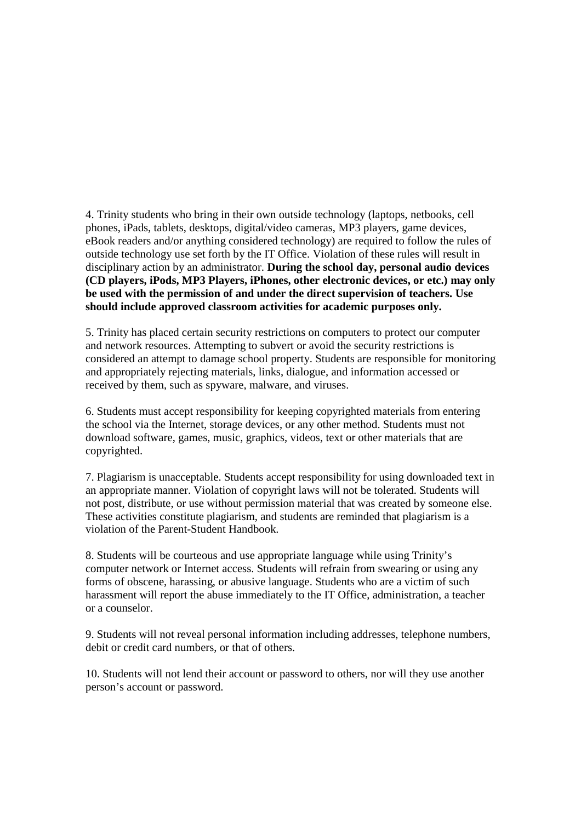4. Trinity students who bring in their own outside technology (laptops, netbooks, cell phones, iPads, tablets, desktops, digital/video cameras, MP3 players, game devices, eBook readers and/or anything considered technology) are required to follow the rules of outside technology use set forth by the IT Office. Violation of these rules will result in disciplinary action by an administrator. **During the school day, personal audio devices (CD players, iPods, MP3 Players, iPhones, other electronic devices, or etc.) may only be used with the permission of and under the direct supervision of teachers. Use should include approved classroom activities for academic purposes only.**

5. Trinity has placed certain security restrictions on computers to protect our computer and network resources. Attempting to subvert or avoid the security restrictions is considered an attempt to damage school property. Students are responsible for monitoring and appropriately rejecting materials, links, dialogue, and information accessed or received by them, such as spyware, malware, and viruses.

6. Students must accept responsibility for keeping copyrighted materials from entering the school via the Internet, storage devices, or any other method. Students must not download software, games, music, graphics, videos, text or other materials that are copyrighted.

7. Plagiarism is unacceptable. Students accept responsibility for using downloaded text in an appropriate manner. Violation of copyright laws will not be tolerated. Students will not post, distribute, or use without permission material that was created by someone else. These activities constitute plagiarism, and students are reminded that plagiarism is a violation of the Parent-Student Handbook.

8. Students will be courteous and use appropriate language while using Trinity's computer network or Internet access. Students will refrain from swearing or using any forms of obscene, harassing, or abusive language. Students who are a victim of such harassment will report the abuse immediately to the IT Office, administration, a teacher or a counselor.

9. Students will not reveal personal information including addresses, telephone numbers, debit or credit card numbers, or that of others.

10. Students will not lend their account or password to others, nor will they use another person's account or password.